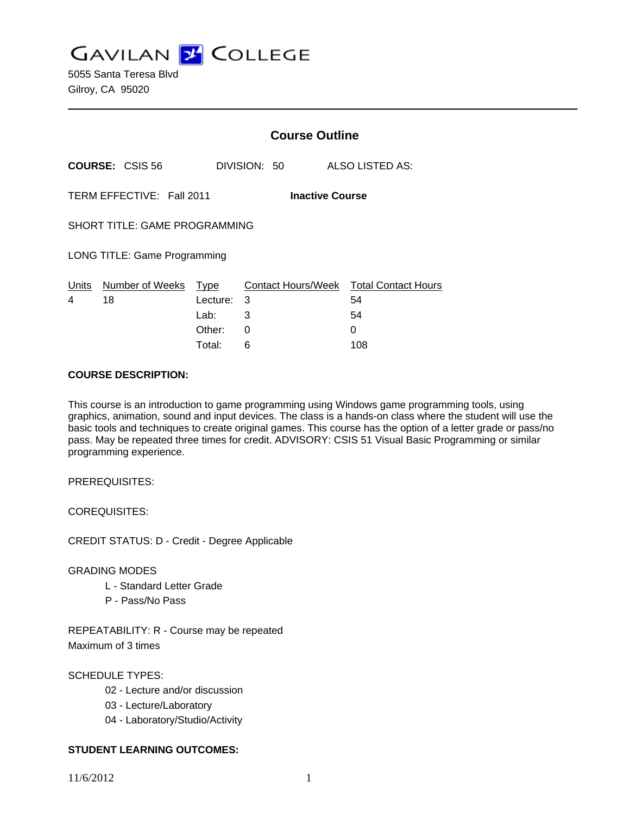**GAVILAN J COLLEGE** 

5055 Santa Teresa Blvd Gilroy, CA 95020

|                                                     |                       | <b>Course Outline</b> |              |                                              |
|-----------------------------------------------------|-----------------------|-----------------------|--------------|----------------------------------------------|
| <b>COURSE: CSIS 56</b>                              |                       |                       | DIVISION: 50 | ALSO LISTED AS:                              |
| TERM EFFECTIVE: Fall 2011<br><b>Inactive Course</b> |                       |                       |              |                                              |
| SHORT TITLE: GAME PROGRAMMING                       |                       |                       |              |                                              |
| LONG TITLE: Game Programming                        |                       |                       |              |                                              |
| <u>Un</u> its<br>4                                  | Number of Weeks<br>18 | Type<br>Lecture:      | 3            | Contact Hours/Week Total Contact Hours<br>54 |
|                                                     |                       | Lab:                  | 3            | 54                                           |
|                                                     |                       | Other:                | 0            | 0                                            |
|                                                     |                       | Total:                | 6            | 108                                          |

#### **COURSE DESCRIPTION:**

This course is an introduction to game programming using Windows game programming tools, using graphics, animation, sound and input devices. The class is a hands-on class where the student will use the basic tools and techniques to create original games. This course has the option of a letter grade or pass/no pass. May be repeated three times for credit. ADVISORY: CSIS 51 Visual Basic Programming or similar programming experience.

PREREQUISITES:

COREQUISITES:

CREDIT STATUS: D - Credit - Degree Applicable

### GRADING MODES

- L Standard Letter Grade
- P Pass/No Pass

REPEATABILITY: R - Course may be repeated Maximum of 3 times

SCHEDULE TYPES:

- 02 Lecture and/or discussion
- 03 Lecture/Laboratory
- 04 Laboratory/Studio/Activity

# **STUDENT LEARNING OUTCOMES:**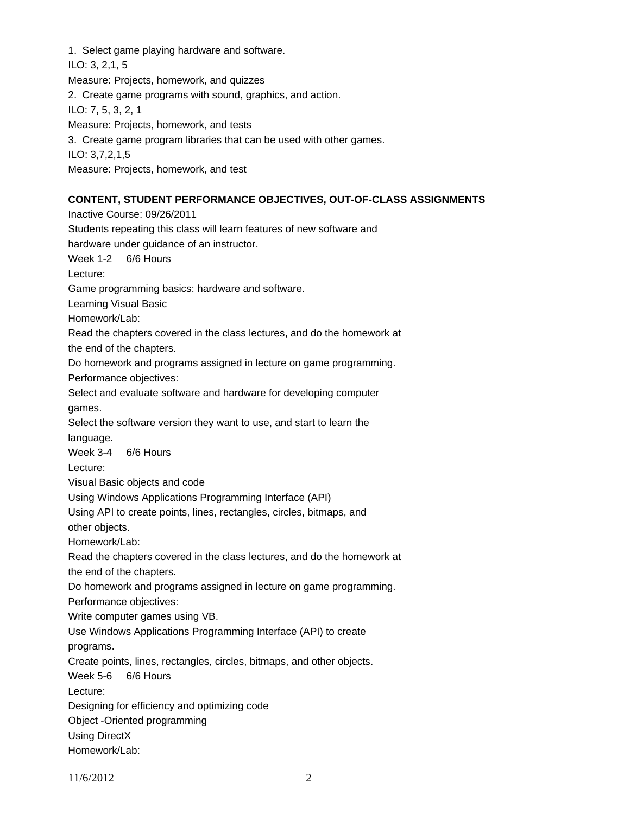1. Select game playing hardware and software. ILO: 3, 2,1, 5 Measure: Projects, homework, and quizzes 2. Create game programs with sound, graphics, and action. ILO: 7, 5, 3, 2, 1 Measure: Projects, homework, and tests 3. Create game program libraries that can be used with other games. ILO: 3,7,2,1,5 Measure: Projects, homework, and test

### **CONTENT, STUDENT PERFORMANCE OBJECTIVES, OUT-OF-CLASS ASSIGNMENTS**

Inactive Course: 09/26/2011 Students repeating this class will learn features of new software and hardware under guidance of an instructor. Week 1-2 6/6 Hours Lecture: Game programming basics: hardware and software. Learning Visual Basic Homework/Lab: Read the chapters covered in the class lectures, and do the homework at the end of the chapters. Do homework and programs assigned in lecture on game programming. Performance objectives: Select and evaluate software and hardware for developing computer games. Select the software version they want to use, and start to learn the language. Week 3-4 6/6 Hours Lecture: Visual Basic objects and code Using Windows Applications Programming Interface (API) Using API to create points, lines, rectangles, circles, bitmaps, and other objects. Homework/Lab: Read the chapters covered in the class lectures, and do the homework at the end of the chapters. Do homework and programs assigned in lecture on game programming. Performance objectives: Write computer games using VB. Use Windows Applications Programming Interface (API) to create programs. Create points, lines, rectangles, circles, bitmaps, and other objects. Week 5-6 6/6 Hours Lecture: Designing for efficiency and optimizing code Object -Oriented programming Using DirectX Homework/Lab: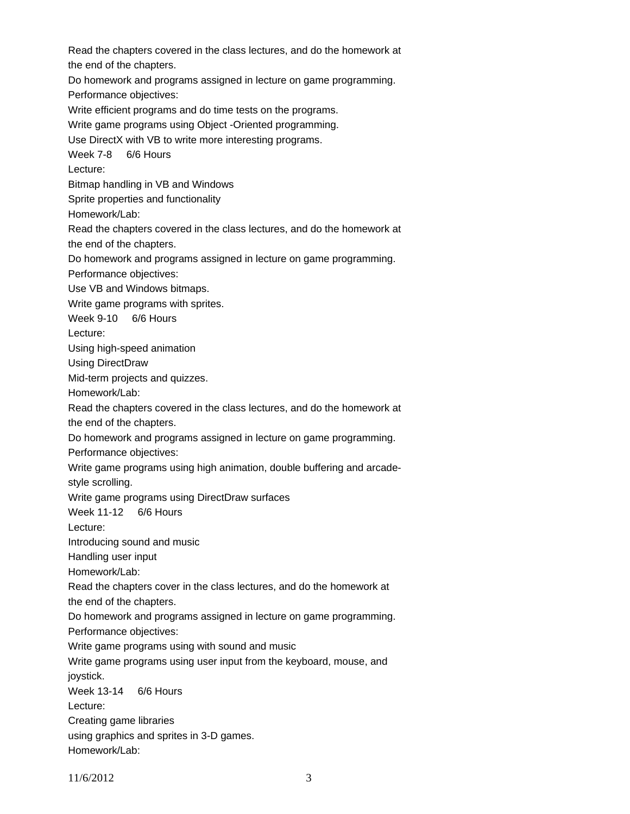Read the chapters covered in the class lectures, and do the homework at the end of the chapters. Do homework and programs assigned in lecture on game programming. Performance objectives: Write efficient programs and do time tests on the programs. Write game programs using Object -Oriented programming. Use DirectX with VB to write more interesting programs. Week 7-8 6/6 Hours Lecture: Bitmap handling in VB and Windows Sprite properties and functionality Homework/Lab: Read the chapters covered in the class lectures, and do the homework at the end of the chapters. Do homework and programs assigned in lecture on game programming. Performance objectives: Use VB and Windows bitmaps. Write game programs with sprites. Week 9-10 6/6 Hours Lecture: Using high-speed animation Using DirectDraw Mid-term projects and quizzes. Homework/Lab: Read the chapters covered in the class lectures, and do the homework at the end of the chapters. Do homework and programs assigned in lecture on game programming. Performance objectives: Write game programs using high animation, double buffering and arcadestyle scrolling. Write game programs using DirectDraw surfaces Week 11-12 6/6 Hours Lecture: Introducing sound and music Handling user input Homework/Lab: Read the chapters cover in the class lectures, and do the homework at the end of the chapters. Do homework and programs assigned in lecture on game programming. Performance objectives: Write game programs using with sound and music Write game programs using user input from the keyboard, mouse, and joystick. Week 13-14 6/6 Hours Lecture: Creating game libraries using graphics and sprites in 3-D games. Homework/Lab: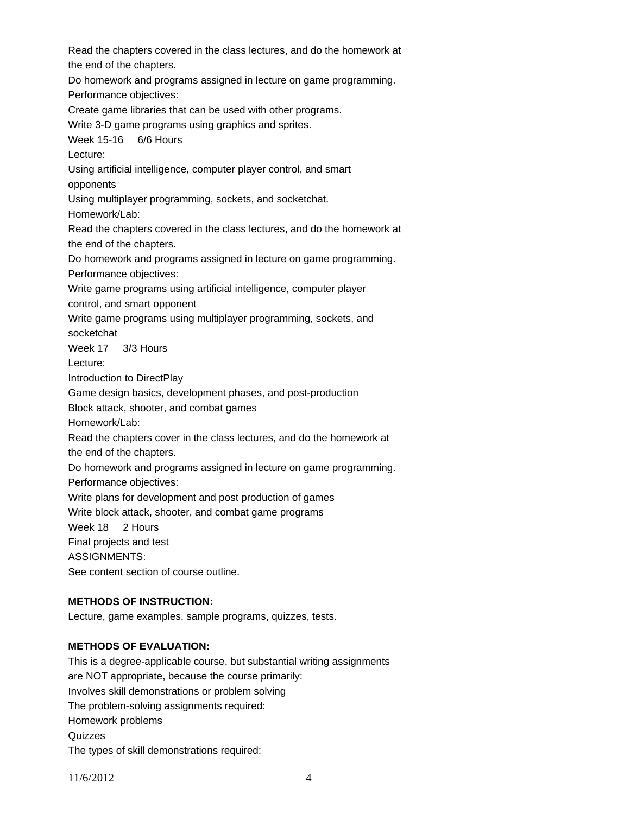Read the chapters covered in the class lectures, and do the homework at the end of the chapters.

Do homework and programs assigned in lecture on game programming. Performance objectives:

Create game libraries that can be used with other programs.

Write 3-D game programs using graphics and sprites.

Week 15-16 6/6 Hours

Lecture:

Using artificial intelligence, computer player control, and smart opponents

Using multiplayer programming, sockets, and socketchat.

Homework/Lab:

Read the chapters covered in the class lectures, and do the homework at the end of the chapters.

Do homework and programs assigned in lecture on game programming.

Performance objectives:

Write game programs using artificial intelligence, computer player

control, and smart opponent

Write game programs using multiplayer programming, sockets, and socketchat

Week 17 3/3 Hours

Lecture:

Introduction to DirectPlay

Game design basics, development phases, and post-production

Block attack, shooter, and combat games

Homework/Lab:

Read the chapters cover in the class lectures, and do the homework at the end of the chapters.

Do homework and programs assigned in lecture on game programming.

Performance objectives:

Write plans for development and post production of games

Write block attack, shooter, and combat game programs

Week 18 2 Hours

Final projects and test

ASSIGNMENTS:

See content section of course outline.

# **METHODS OF INSTRUCTION:**

Lecture, game examples, sample programs, quizzes, tests.

### **METHODS OF EVALUATION:**

This is a degree-applicable course, but substantial writing assignments are NOT appropriate, because the course primarily: Involves skill demonstrations or problem solving The problem-solving assignments required: Homework problems **Quizzes** The types of skill demonstrations required: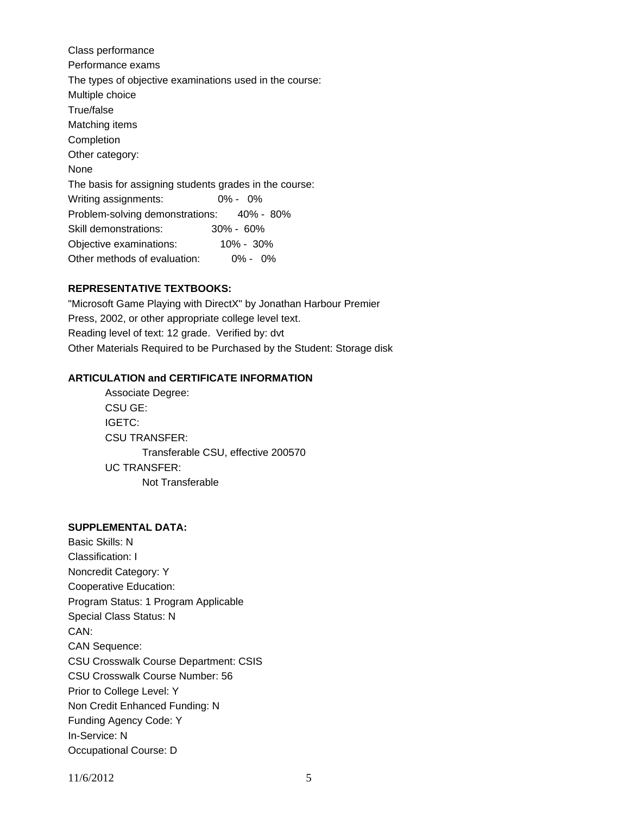Class performance Performance exams The types of objective examinations used in the course: Multiple choice True/false Matching items Completion Other category: None The basis for assigning students grades in the course: Writing assignments: 0% - 0% Problem-solving demonstrations: 40% - 80% Skill demonstrations: 30% - 60% Objective examinations: 10% - 30% Other methods of evaluation: 0% - 0%

### **REPRESENTATIVE TEXTBOOKS:**

"Microsoft Game Playing with DirectX" by Jonathan Harbour Premier Press, 2002, or other appropriate college level text. Reading level of text: 12 grade. Verified by: dvt Other Materials Required to be Purchased by the Student: Storage disk

### **ARTICULATION and CERTIFICATE INFORMATION**

 Transferable CSU, effective 200570 UC TRANSFER: Not Transferable Associate Degree: CSU GE: IGETC: CSU TRANSFER:

### **SUPPLEMENTAL DATA:**

Basic Skills: N Classification: I Noncredit Category: Y Cooperative Education: Program Status: 1 Program Applicable Special Class Status: N CAN: CAN Sequence: CSU Crosswalk Course Department: CSIS CSU Crosswalk Course Number: 56 Prior to College Level: Y Non Credit Enhanced Funding: N Funding Agency Code: Y In-Service: N Occupational Course: D

11/6/2012 5